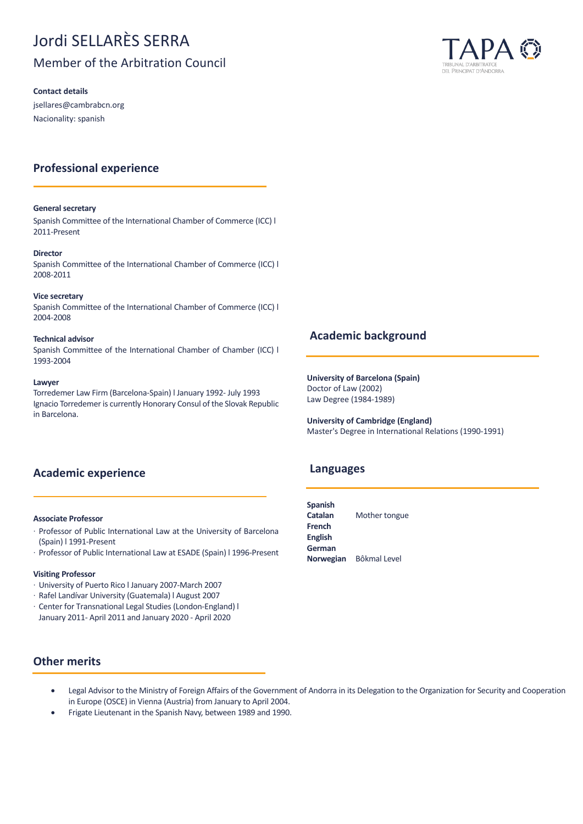# Jordi SELLARÈS SERRA

## Member of the Arbitration Council

**Contact details**

jsellares@cambrabcn.org Nacionality: spanish

## **Professional experience**

#### **General secretary**

Spanish Committee of the International Chamber of Commerce (ICC) l 2011-Present

#### **Director**

Spanish Committee of the International Chamber of Commerce (ICC) l 2008-2011

#### **Vice secretary**

Spanish Committee of the International Chamber of Commerce (ICC) l 2004-2008

#### **Technical advisor**

Spanish Committee of the International Chamber of Chamber (ICC) l 1993-2004

#### **Lawyer**

Torredemer Law Firm (Barcelona-Spain) l January 1992- July 1993 Ignacio Torredemer is currently Honorary Consul of the Slovak Republic in Barcelona.

## **Academic experience**

#### **Associate Professor**

- · Professor of Public International Law at the University of Barcelona (Spain) l 1991-Present
- · Professor of Public International Law at ESADE (Spain) l 1996-Present

#### **Visiting Professor**

- · University of Puerto Rico l January 2007-March 2007
- · Rafel Landívar University (Guatemala) l August 2007
- · Center for Transnational Legal Studies (London-England) l January 2011- April 2011 and January 2020 - April 2020

## **Other merits**

- Legal Advisor to the Ministry of Foreign Affairs of the Government of Andorra in its Delegation to the Organization for Security and Cooperation in Europe (OSCE) in Vienna (Austria) from January to April 2004.
- Frigate Lieutenant in the Spanish Navy, between 1989 and 1990.



## **Academic background**

**University of Barcelona (Spain)** Doctor of Law (2002) Law Degree (1984-1989)

**University of Cambridge (England)** Master's Degree in International Relations (1990-1991)

### **Languages**

**Spanish Catalan** Mother tongue **French English German Norwegian** Bôkmal Level